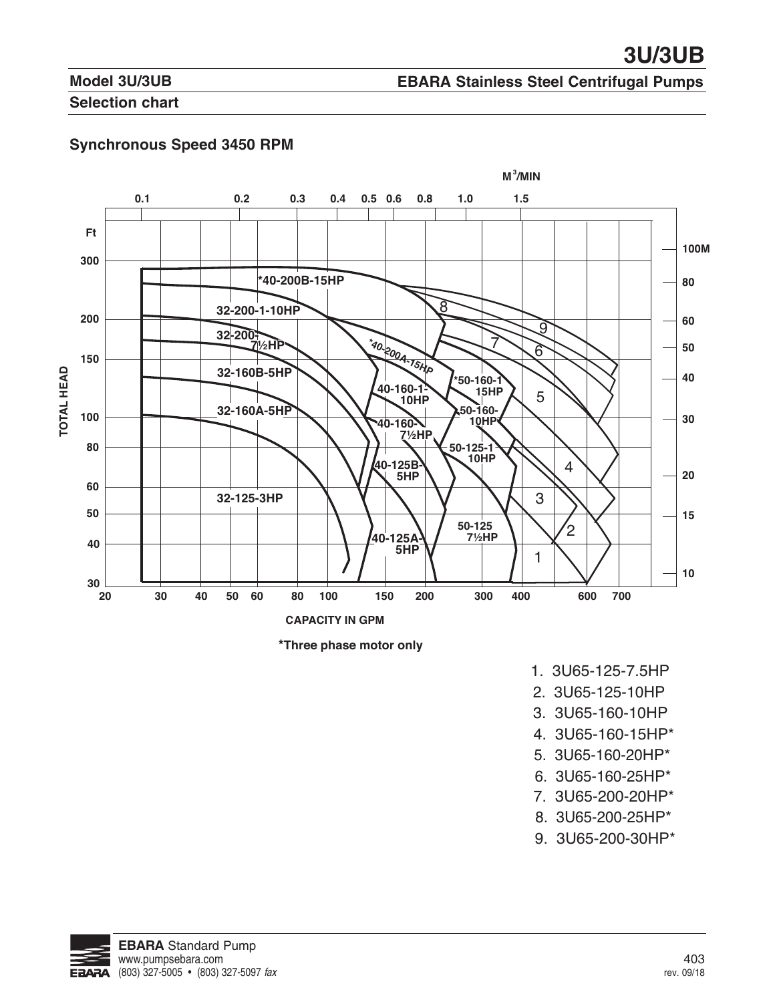# **Model 3U/3UB**

## **EBARA Stainless Steel Centrifugal Pumps**

## **Selection chart**

## **Synchronous Speed 3450 RPM**





- 1. 3U65-125-7.5HP
- 2. 3U65-125-10HP
- 3. 3U65-160-10HP
- 4. 3U65-160-15HP\*
- 5. 3U65-160-20HP\*
- 6. 3U65-160-25HP\*
- 7. 3U65-200-20HP\*
- 8. 3U65-200-25HP\*
- 9. 3U65-200-30HP\*

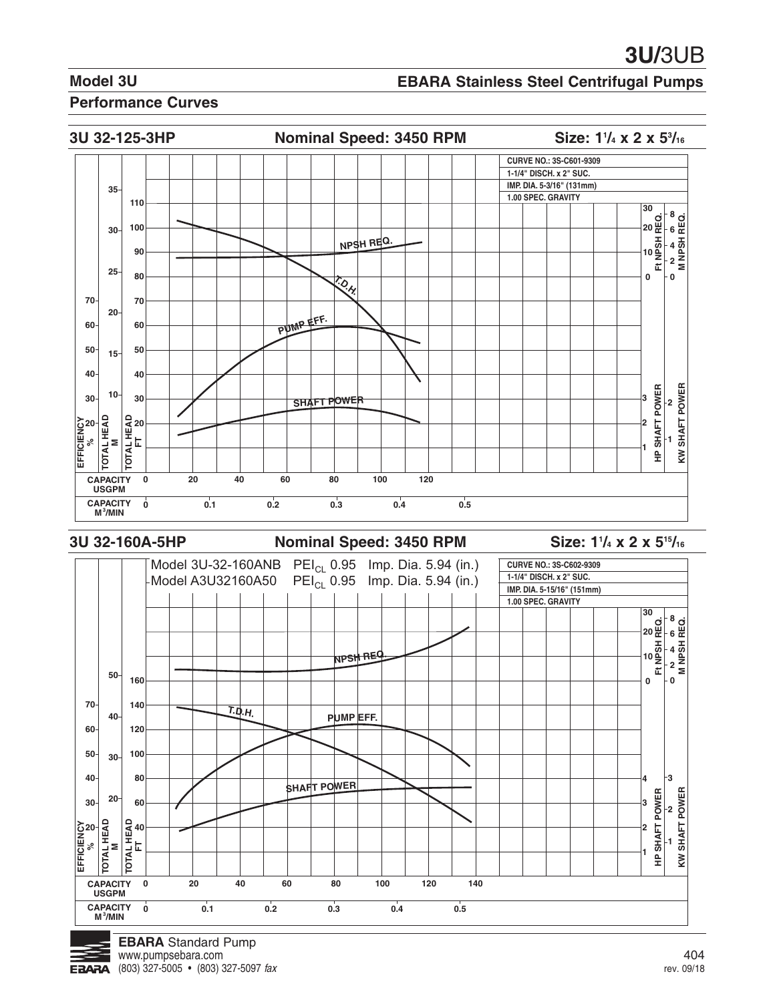## **EBARA Stainless Steel Centrifugal Pumps**

#### **Performance Curves**



#### **3U 32-160A-5HP Nominal Speed: 3450 RPM**

Size: 1<sup>1</sup>/<sub>4</sub> x 2 x 5<sup>15</sup>/<sub>16</sub>

![](_page_1_Figure_8.jpeg)

![](_page_1_Picture_9.jpeg)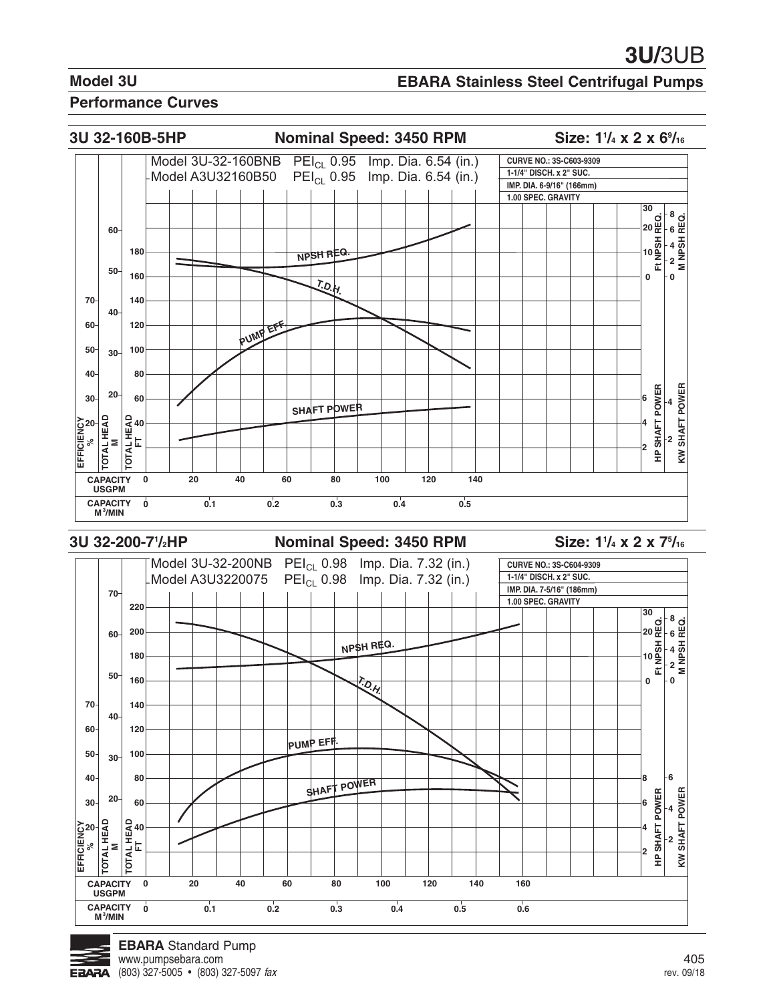#### **EBARA Stainless Steel Centrifugal Pumps**

#### **Performance Curves**

![](_page_2_Figure_4.jpeg)

**3U 32-200-71**

#### **Nominal Speed: 3450 RPM**

**/4 x 2 x 75 /16**

![](_page_2_Figure_8.jpeg)

![](_page_2_Picture_9.jpeg)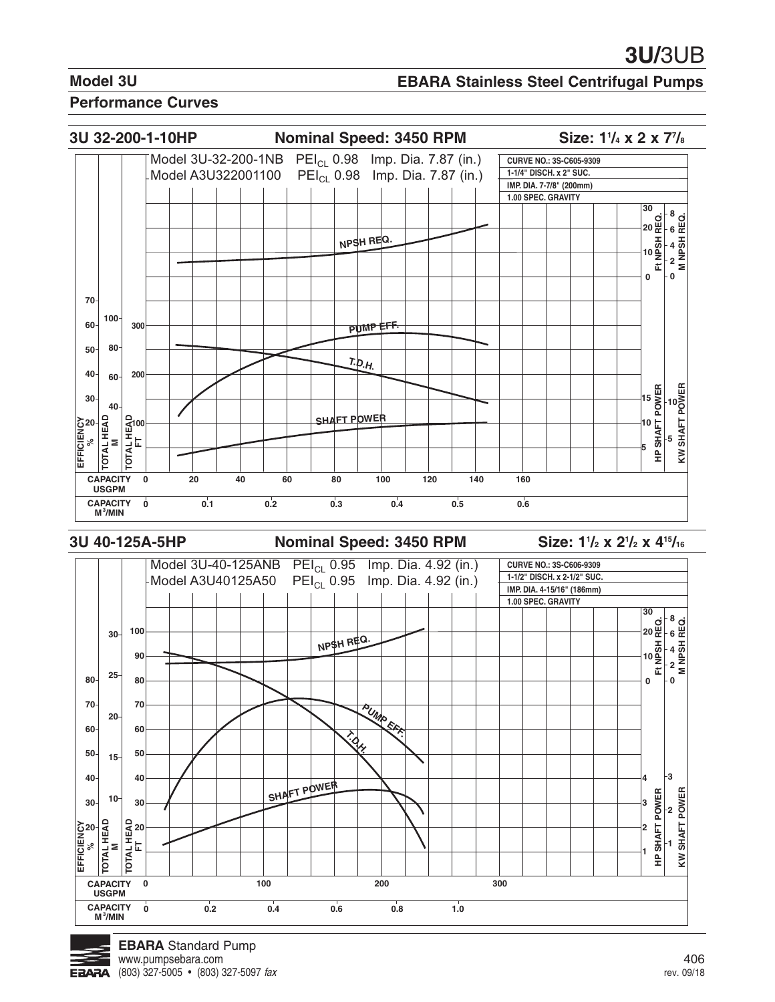#### **EBARA Stainless Steel Centrifugal Pumps**

#### **Performance Curves**

![](_page_3_Figure_4.jpeg)

#### **3U 40-125A-5HP Nominal Speed: 3450 RPM**

**/2 x 21 /2 x 415/16**

![](_page_3_Figure_8.jpeg)

![](_page_3_Picture_9.jpeg)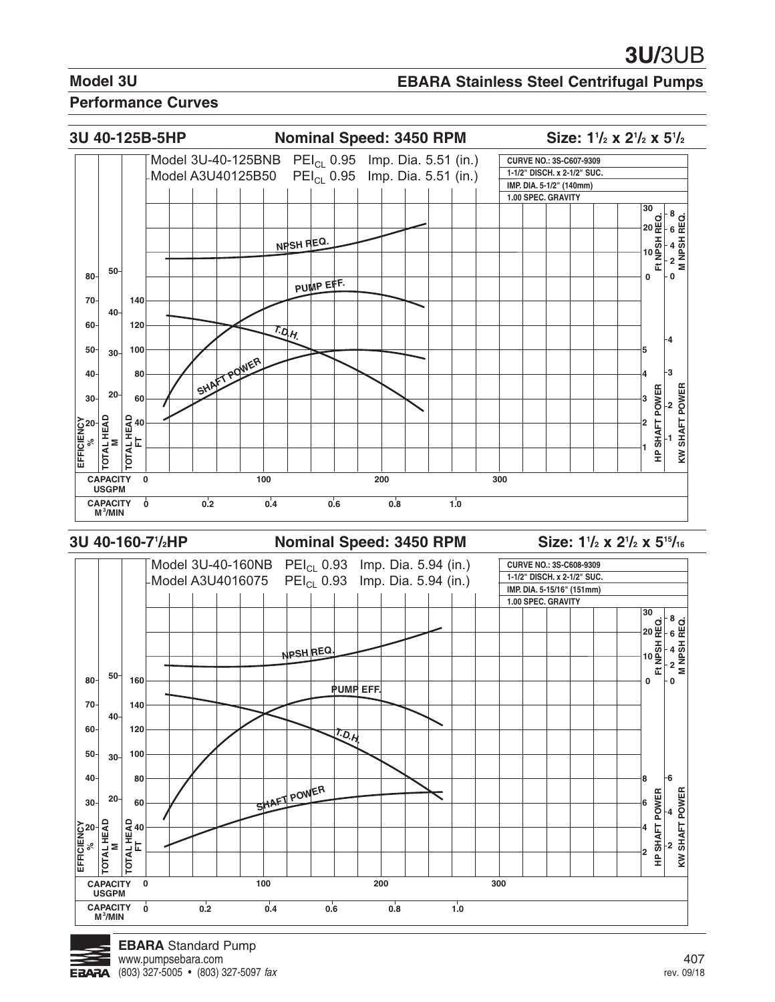#### **EBARA Stainless Steel Centrifugal Pumps**

#### **Performance Curves**

![](_page_4_Figure_4.jpeg)

**3U 40-160-71**

#### **Nominal Speed: 3450 RPM**

**/2 x 21 /2 x 515/16**

![](_page_4_Figure_8.jpeg)

![](_page_4_Picture_9.jpeg)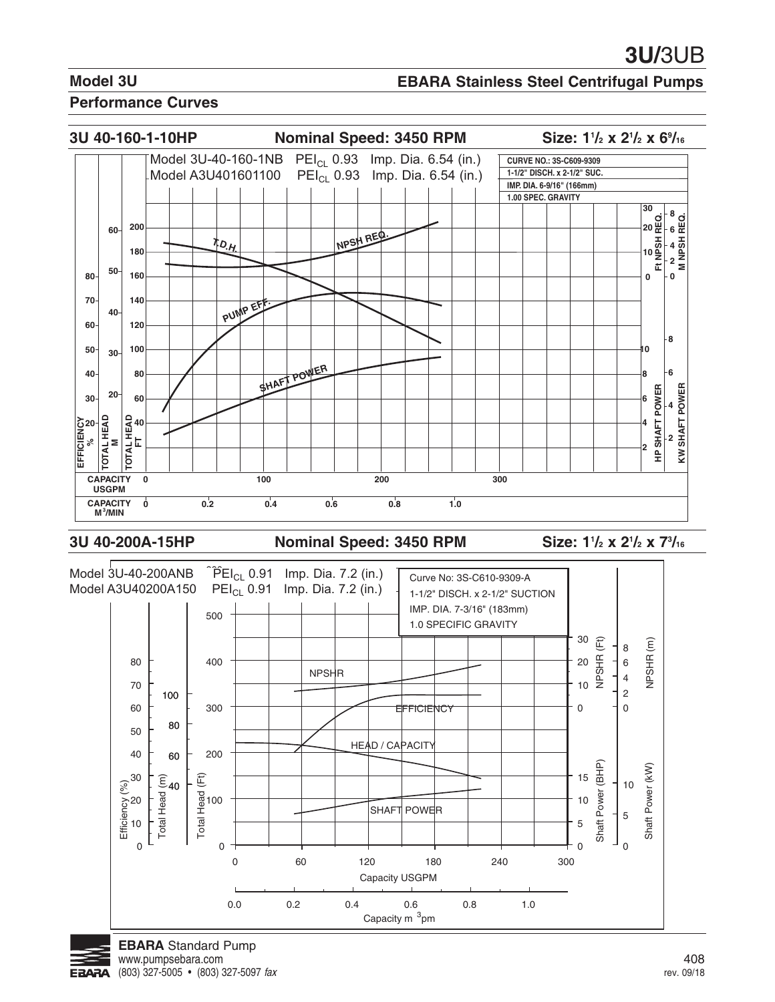#### **EBARA Stainless Steel Centrifugal Pumps**

#### **Performance Curves**

![](_page_5_Figure_4.jpeg)

#### 3U 40-200A-15HP Nominal Speed: 3450 RPM

**/2 x 21 /2 x 73 /16**

![](_page_5_Figure_8.jpeg)

![](_page_5_Picture_9.jpeg)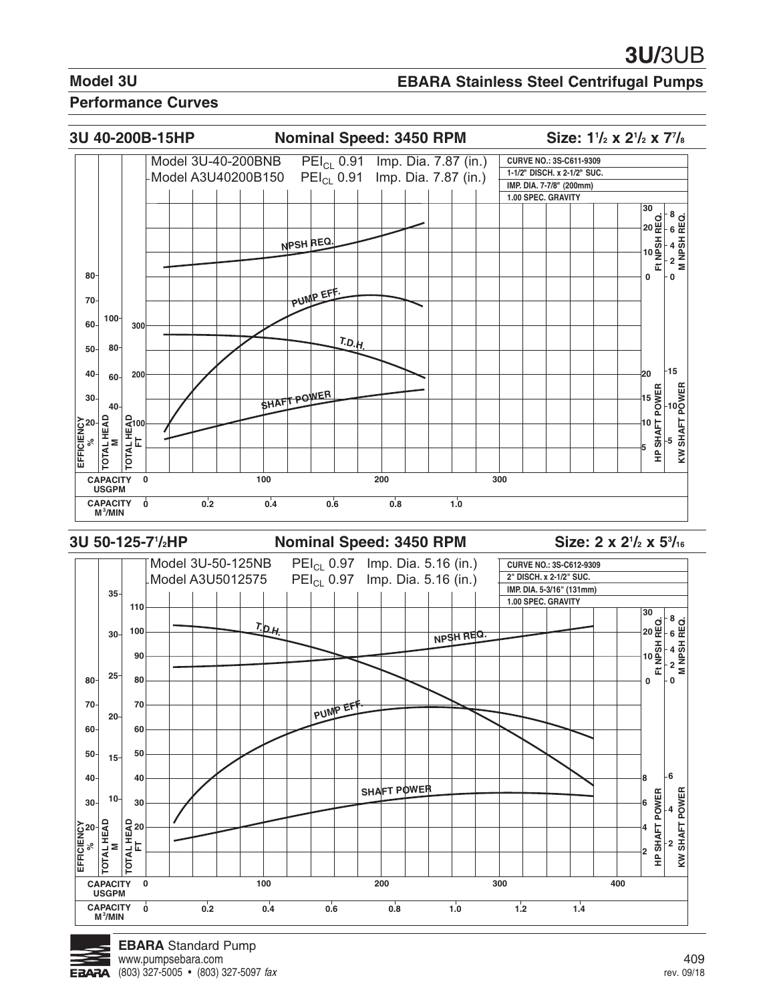## **EBARA Stainless Steel Centrifugal Pumps**

#### **Performance Curves**

![](_page_6_Figure_4.jpeg)

**3U 50-125-71**

**Nominal Speed: 3450 RPM** 

**/2 x 53 /16**

![](_page_6_Figure_8.jpeg)

![](_page_6_Picture_9.jpeg)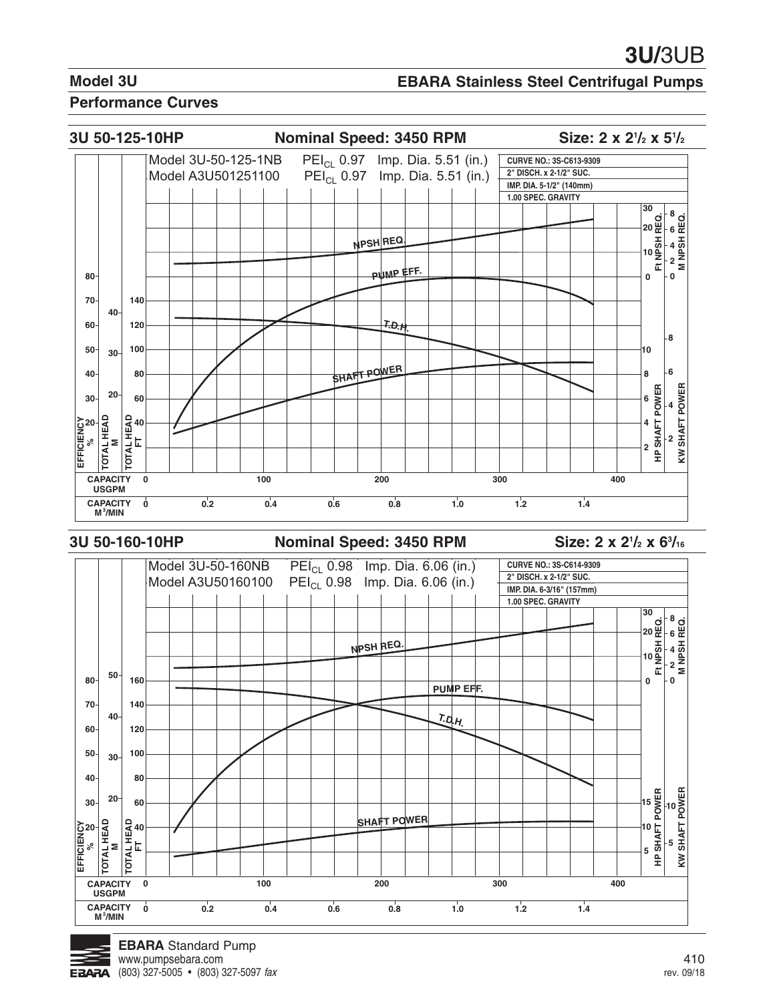## **EBARA Stainless Steel Centrifugal Pumps**

#### **Performance Curves**

![](_page_7_Figure_4.jpeg)

#### **3U 50-160-10HP Nominal Speed: 3450 RPM**

**/2 x 63 /16**

![](_page_7_Figure_8.jpeg)

![](_page_7_Picture_9.jpeg)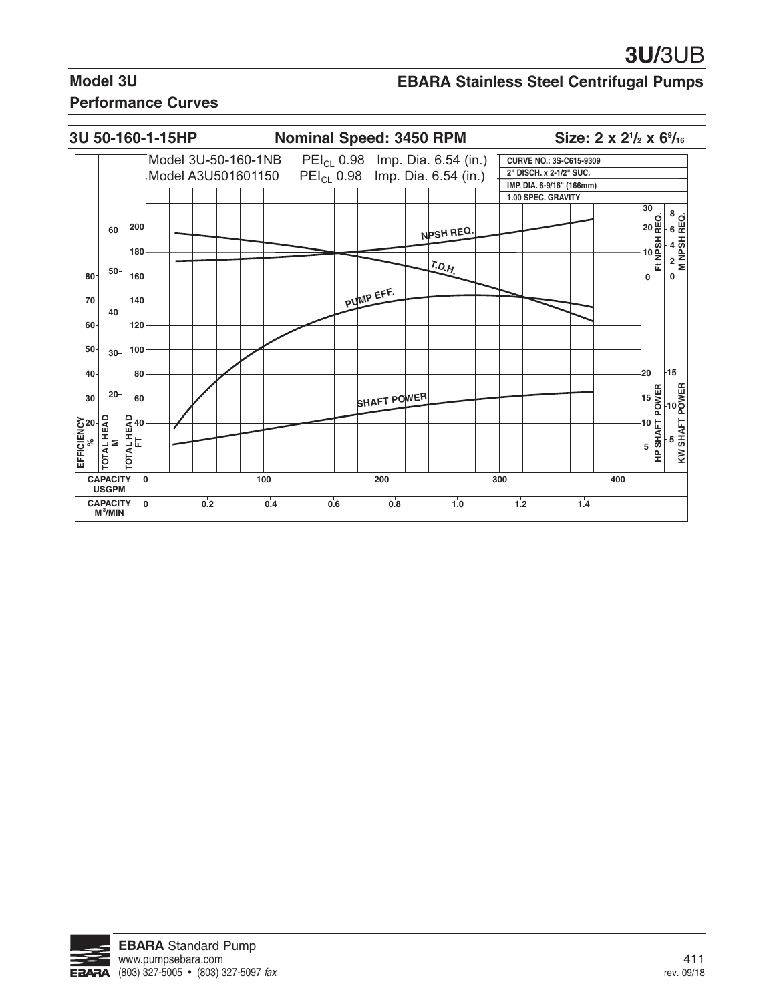## **EBARA Stainless Steel Centrifugal Pumps**

![](_page_8_Figure_4.jpeg)

![](_page_8_Picture_5.jpeg)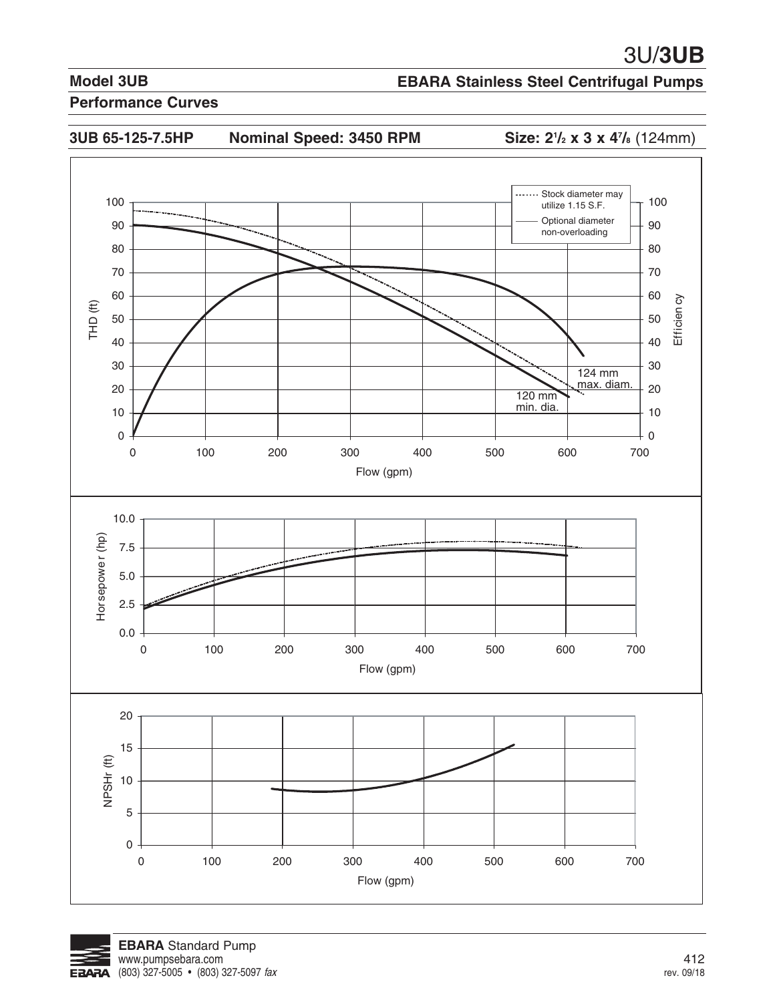**/** $_{2}$  **x 3 x 4** $^{\prime\prime}$ **/** $_{8}$  **(124mm)** 

## **Model 3UB**

## **EBARA Stainless Steel Centrifugal Pumps**

![](_page_9_Figure_4.jpeg)

![](_page_9_Figure_5.jpeg)

![](_page_9_Picture_6.jpeg)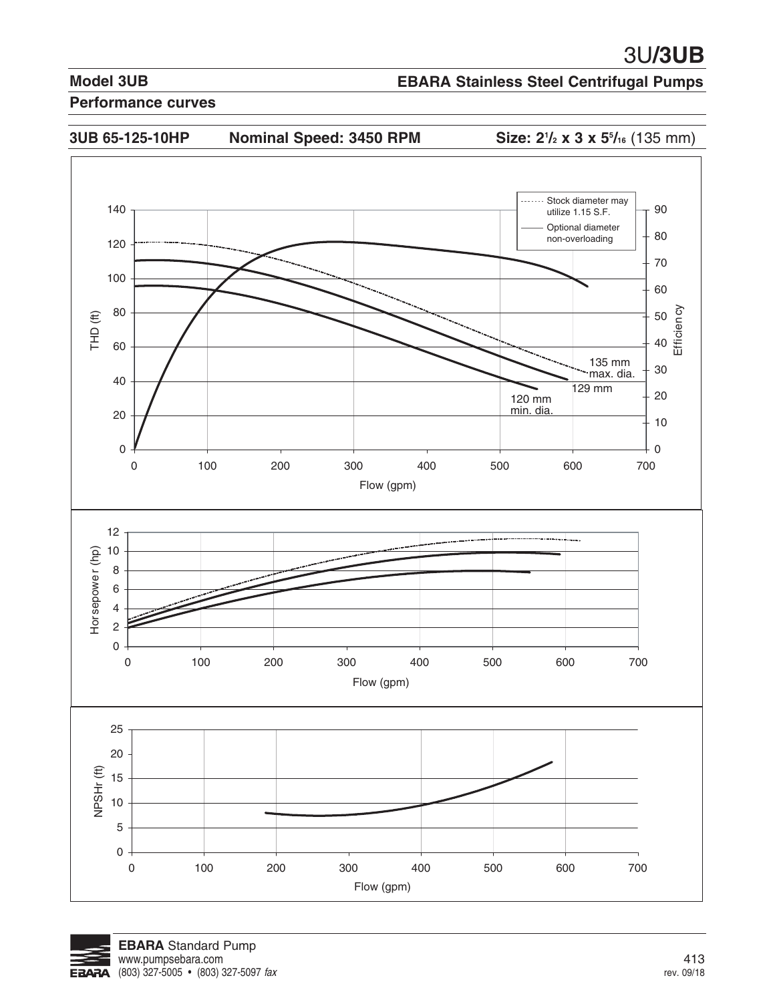## **EBARA Stainless Steel Centrifugal Pumps**

![](_page_10_Figure_4.jpeg)

![](_page_10_Picture_5.jpeg)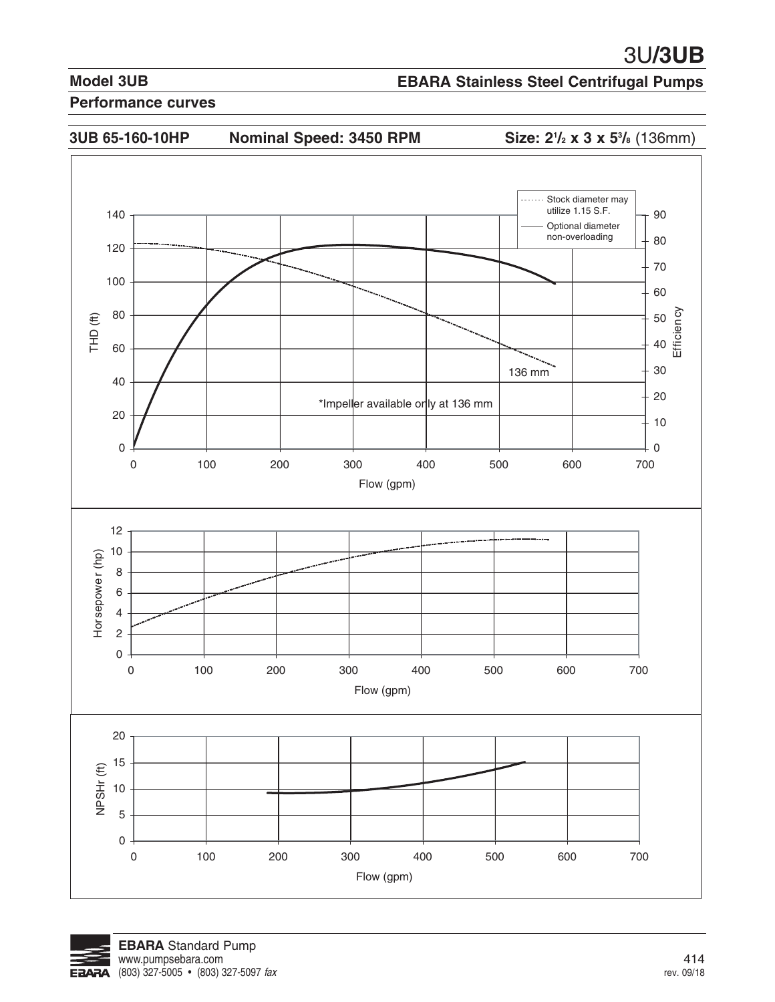## **EBARA Stainless Steel Centrifugal Pumps**

![](_page_11_Figure_4.jpeg)

![](_page_11_Picture_5.jpeg)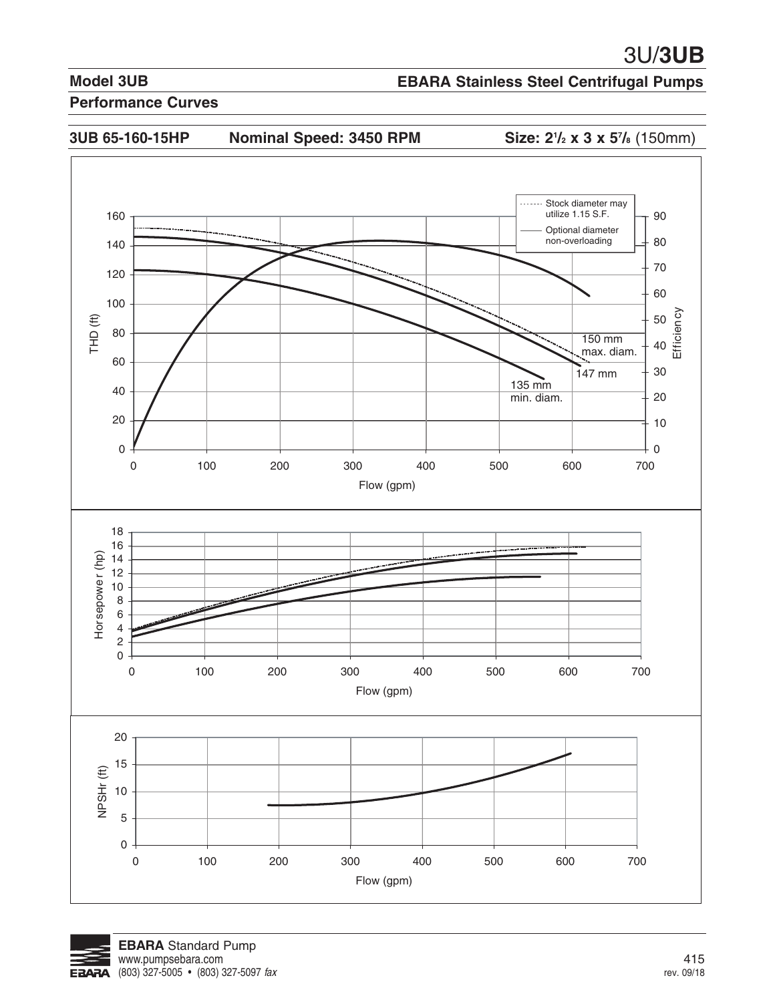## **EBARA Stainless Steel Centrifugal Pumps**

![](_page_12_Figure_4.jpeg)

![](_page_12_Picture_5.jpeg)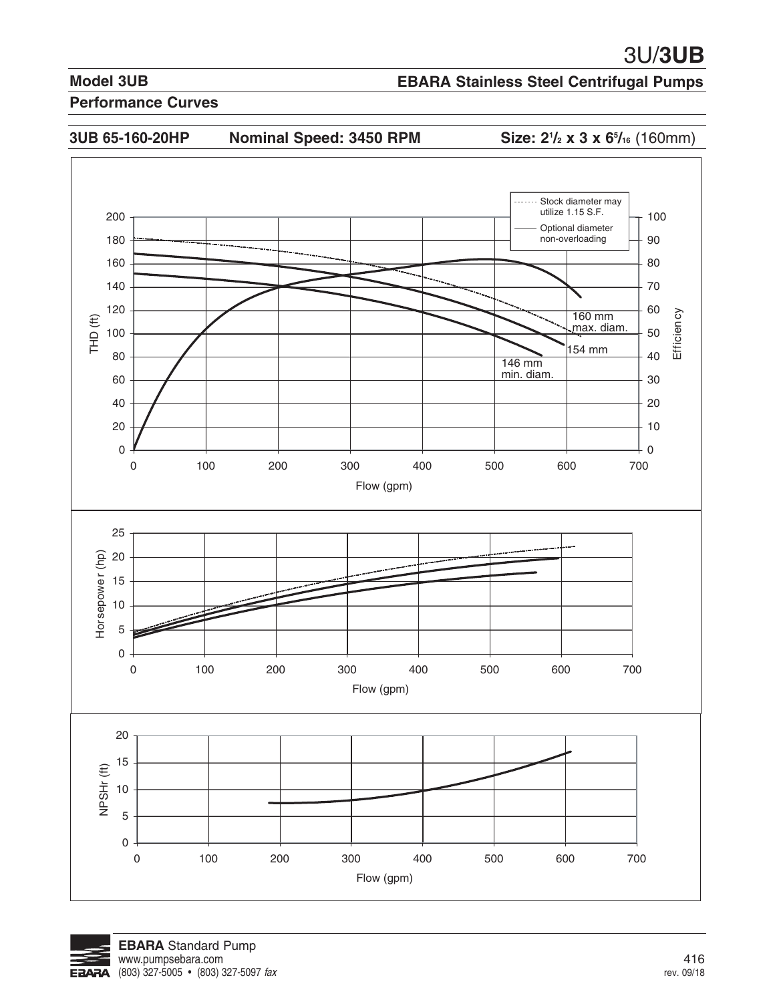## **EBARA Stainless Steel Centrifugal Pumps**

#### **Performance Curves**

![](_page_13_Figure_4.jpeg)

**/2 x 3 x 65 /16** (160mm)

![](_page_13_Figure_7.jpeg)

![](_page_13_Picture_8.jpeg)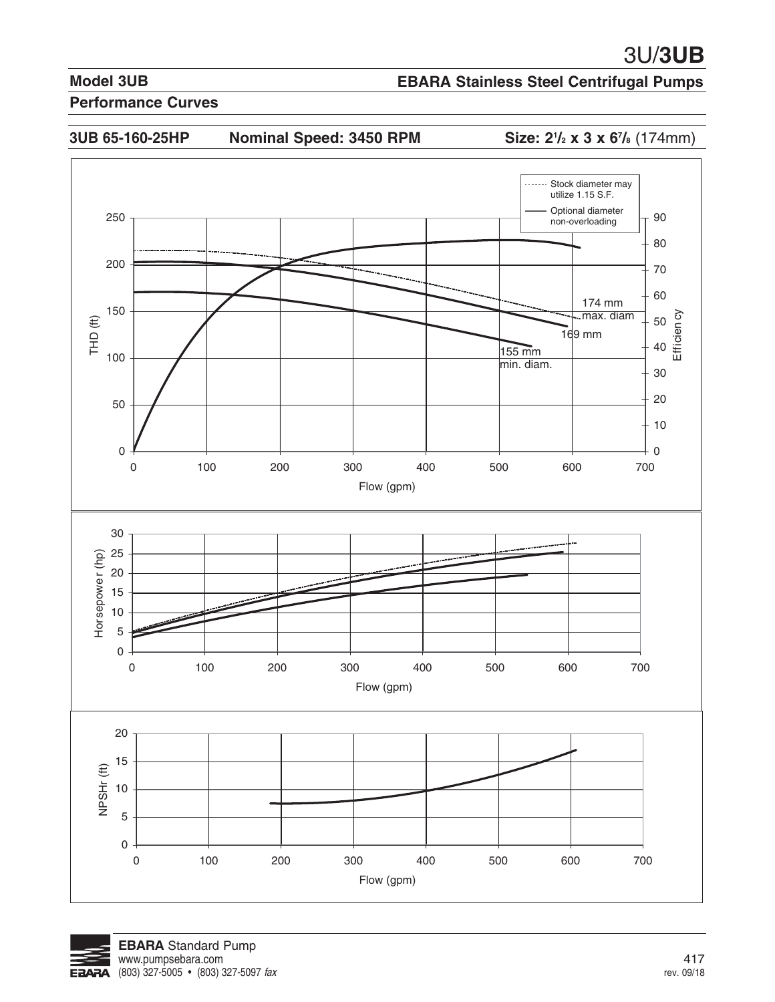## **EBARA Stainless Steel Centrifugal Pumps**

#### **Performance Curves**

**3UB 65-160-25HP Nominal Speed: 3450 RPM Size: 21**

**/2 x 3 x 67 /8** (174mm)

![](_page_14_Figure_7.jpeg)

![](_page_14_Picture_8.jpeg)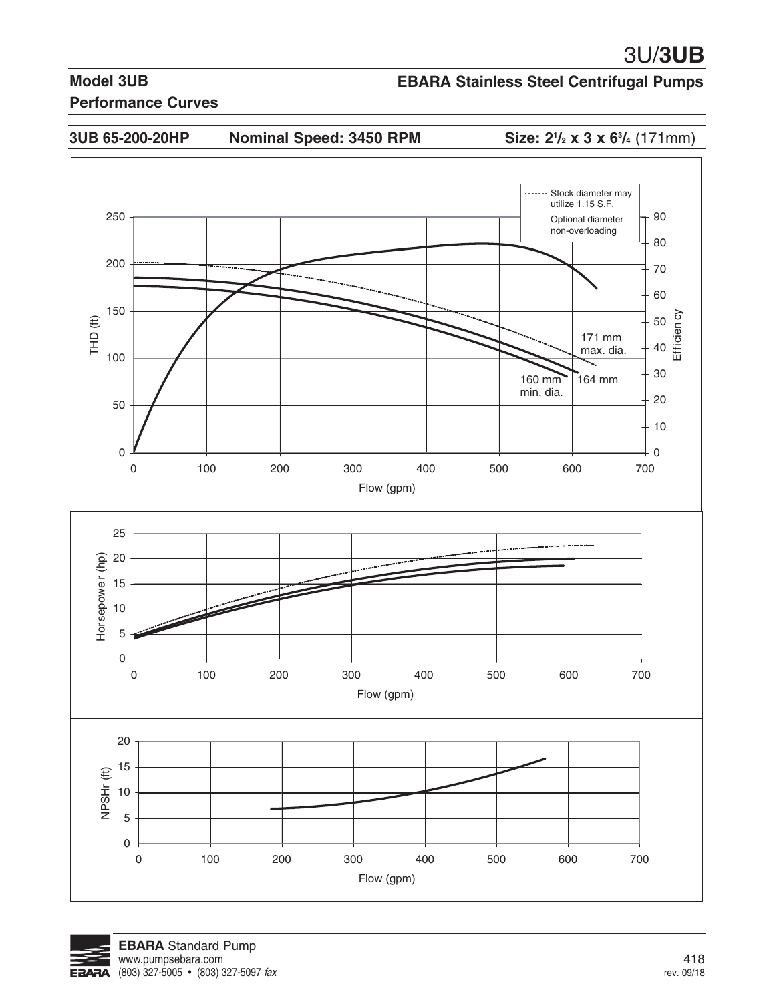## **EBARA Stainless Steel Centrifugal Pumps**

#### **Performance Curves**

![](_page_15_Figure_4.jpeg)

**3UB 65-200-20HP Nominal Speed: 3450 RPM Size: 21**

**/2 x 3 x 63 /4** (171mm)

![](_page_15_Figure_7.jpeg)

![](_page_15_Picture_8.jpeg)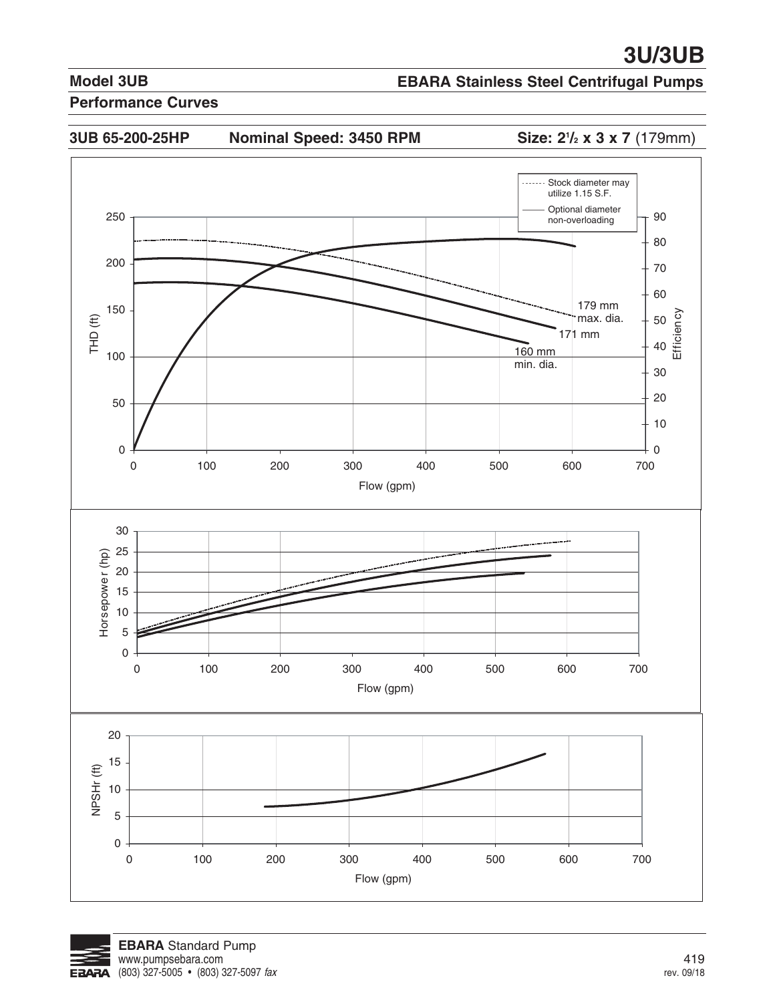## **EBARA Stainless Steel Centrifugal Pumps**

#### **Performance Curves**

![](_page_16_Figure_4.jpeg)

3UB 65-200-25HP Nominal Speed: 3450 RPM

**Size: 2<sup>1</sup>/<sub>2</sub> x 3 x 7** (179mm)

![](_page_16_Figure_7.jpeg)

![](_page_16_Picture_8.jpeg)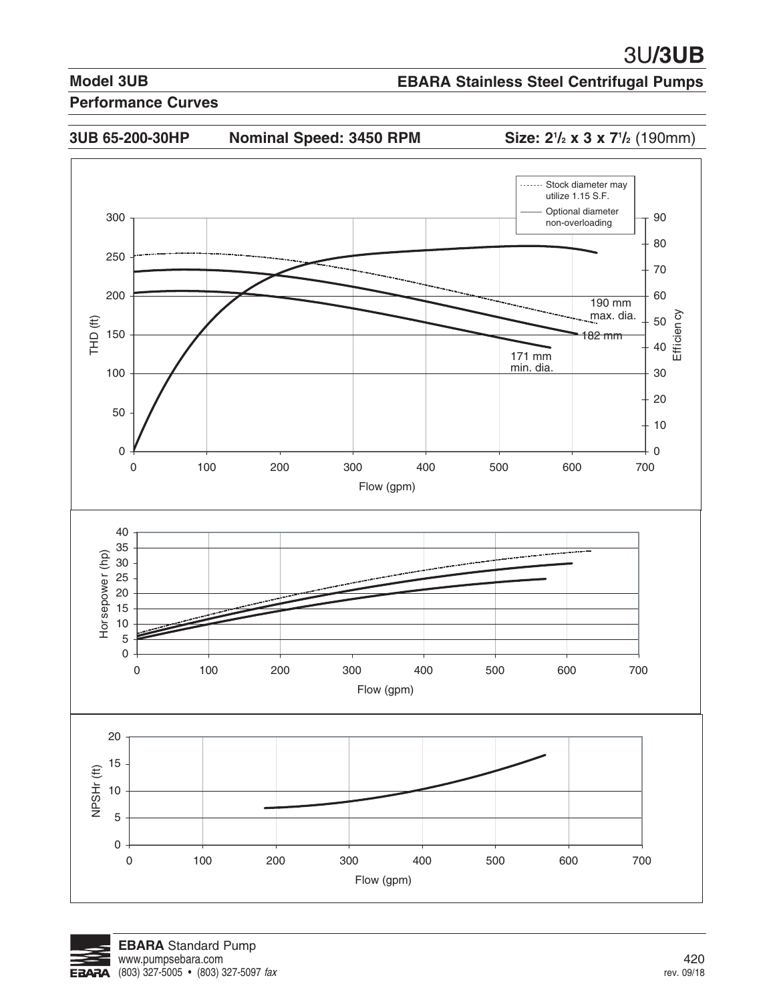## **EBARA Stainless Steel Centrifugal Pumps**

#### **Performance Curves**

3UB 65-200-30HP Nominal Speed: 3450 RPM

**/2 x 3 x 71 /2** (190mm)

![](_page_17_Figure_7.jpeg)

![](_page_17_Picture_8.jpeg)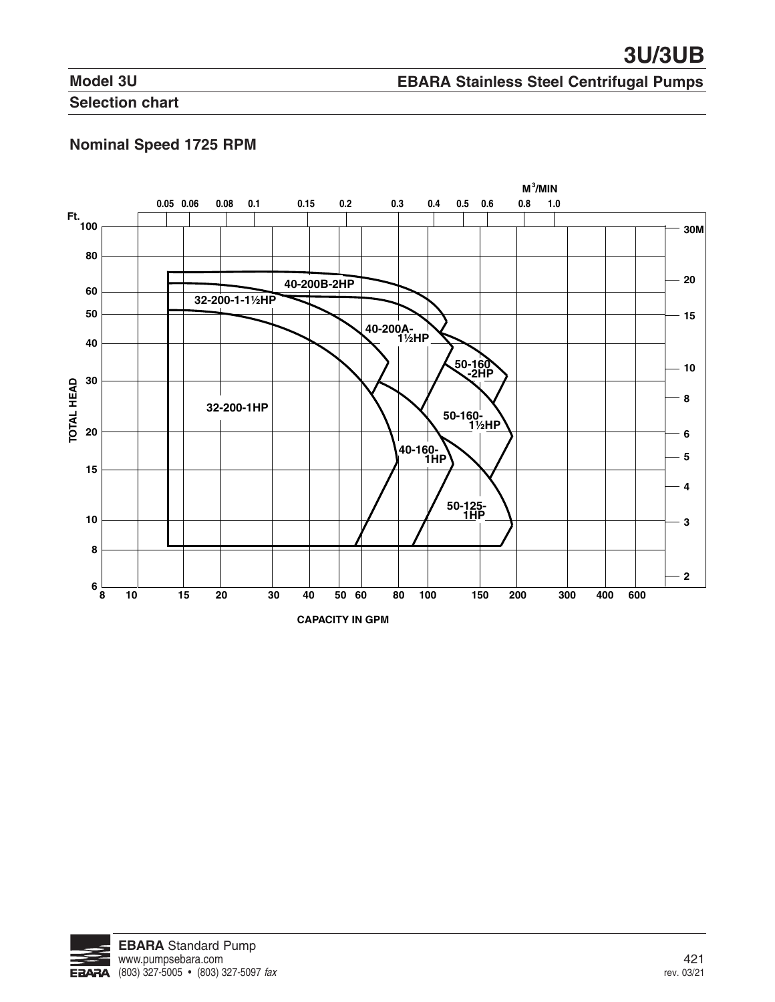## **EBARA Stainless Steel Centrifugal Pumps**

**Selection chart** 

## **Nominal Speed 1725 RPM**

![](_page_18_Figure_5.jpeg)

![](_page_18_Picture_6.jpeg)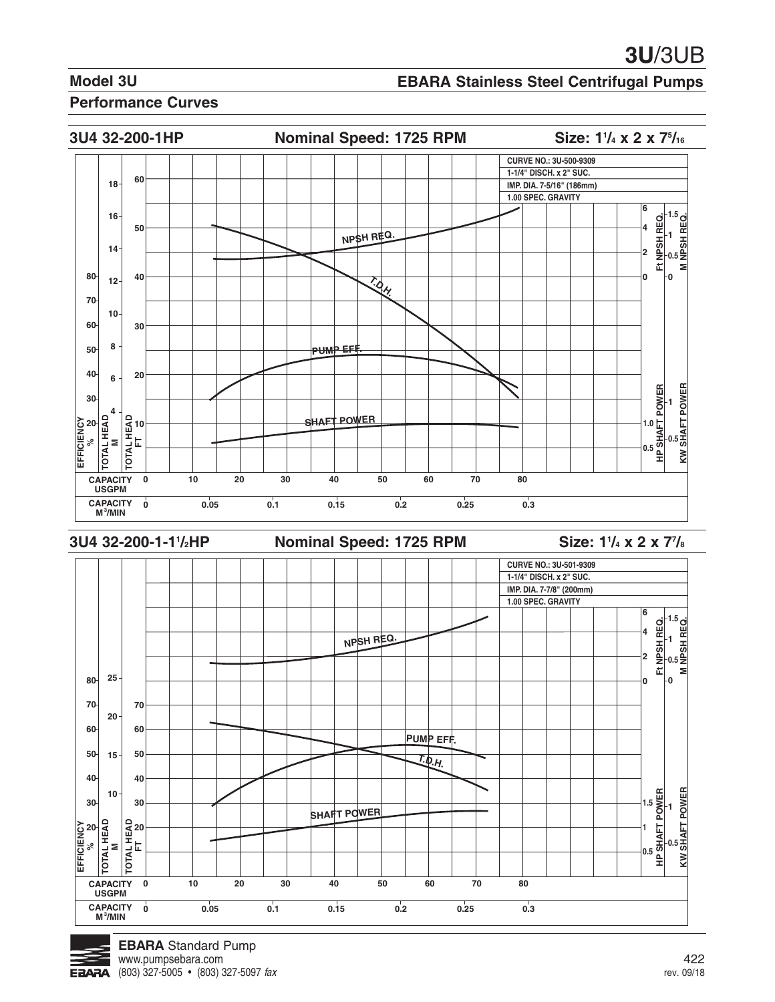## **EBARA Stainless Steel Centrifugal Pumps**

#### **Performance Curves**

![](_page_19_Figure_4.jpeg)

![](_page_19_Figure_5.jpeg)

**CAPACITY 0 10 20 30 40 50 60 70 80**

**0 0.05 0.1 0.15 0.2 0.25 0.3**

![](_page_19_Figure_6.jpeg)

**USGPM CAPACITY M<sup>3</sup> /MIN**

**EFFICIENCY % TOTAL HEAD M TOTAL HEAD**

**20**

**60**

**20**

**15**

**10**

**50 40 30**

**1.5 1 0.5** **HP SHAFT POWER KW SHAFT POWER 1**

읡

**0.5**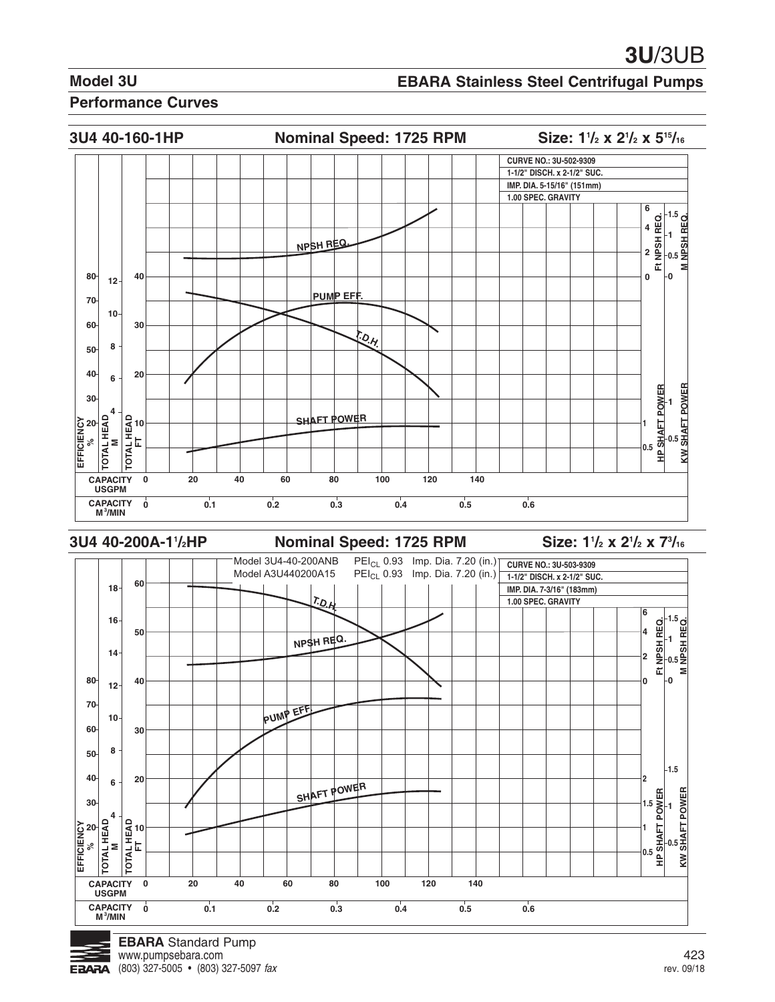#### **EBARA Stainless Steel Centrifugal Pumps**

#### **Performance Curves**

![](_page_20_Figure_4.jpeg)

**3U4 40-200A-11**

**Nominal Speed: 1725 RPM** 

**/2 x 21 /2 x 73 /16**

![](_page_20_Figure_8.jpeg)

![](_page_20_Picture_9.jpeg)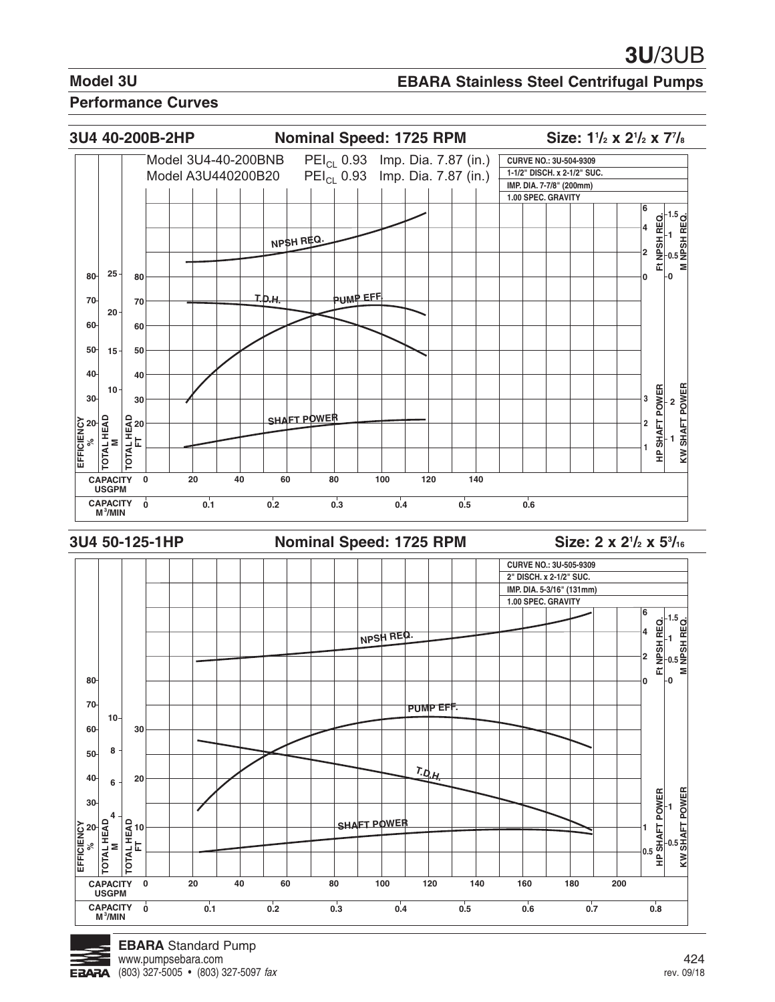## **EBARA Stainless Steel Centrifugal Pumps**

![](_page_21_Figure_4.jpeg)

![](_page_21_Figure_5.jpeg)

![](_page_21_Picture_6.jpeg)